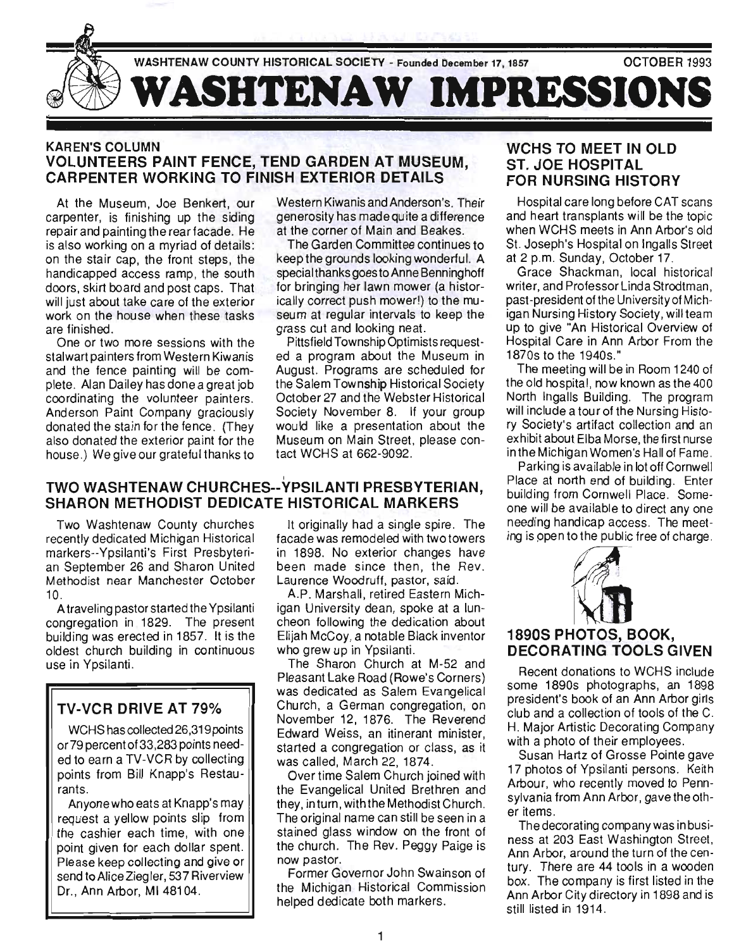

#### KAREN'S COLUMN VOLUNTEERS PAINT FENCE, TEND GARDEN AT MUSEUM, CARPENTER WORKING TO FINISH EXTERIOR DETAILS

At the Museum, Joe Benkert, our carpenter, is finishing up the siding repair and painting the rear facade. He is also working on a myriad of details: on the stair cap, the front steps, the handicapped access ramp, the south doors, skirt board and post caps. That will just about take care of the exterior work on the house when these tasks are finished.

One or two more sessions with the stalwart painters from Western Kiwanis and the fence painting will be complete. Alan Dailey has done a great job coordinating the volunteer painters. Anderson Paint Company graciously donated the stain for the fence. (They also donated the exterior paint for the house.) We give our grateful thanks to

Western Kiwanis and Anderson's. Their generosity has made quite a difference at the corner of Main and Beakes.

The Garden Committee continues to keep the grou nds looking wonderful. A special thanks goes to Anne Benninghoff for bringing her lawn mower (a historically correct push mower!) to the museum at regular intervals to keep the grass cut and looking neat.

Pittsfield Township Optimists requested a program about the Museum in August. Programs are scheduled for the Salem Township Historical Society October 27 and the Webster Historical Society November 8. If your group would like a presentation about the Museum on Main Street, please contact WCHS at 662-9092.

#### TWO WASHTENAW CHURCHES--YPSILANTI PRESBYTERIAN, SHARON METHODIST DEDICATE HISTORICAL MARKERS

Two Washtenaw County churches recently dedicated Michigan Historical markers--Ypsilanti's First Presbyterian September 26 and Sharon United Methodist near Manchester October 10.

A traveling pastor started the Ypsilanti congregation in 1829. The present building was erected in 1857. It is the oldest church building in continuous use in Ypsilanti.

## TV-VCR DRIVE AT 79%

WCHS has collected 26,319 points or 79 percent of 33,283 points needed to earn a TV-VCR by collecting points from Bill Knapp's Restaurants.

Anyone who eats at Knapp's may request a yellow points slip from the cashier each time, with one point given for each dollar spent. Please keep collecting and give or send to Alice Ziegler, 537 Riverview Dr., Ann Arbor, Ml 48104.

It originally had a single spire. The facade was remodeled with two towers in 1898. No exterior changes have been made since then, the Rev. Laurence Woodruff, pastor, said.

A.P. Marshall, retired Eastern Michigan University dean, spoke at a luncheon following the dedication about Elijah McCoy, a notable Black inventor who grew up in Ypsilanti.

The Sharon Church at M-52 and Pleasant Lake Road (Rowe's Corners) was dedicated as Salem Evangelical Church, a German congregation, on November 12, 1876. The Reverend Edward Weiss, an itinerant minister, started a congregation or class, as it was called, March 22, 1874.

Over time Salem Church joined with the Evangelical United Brethren and they, in turn, with the Methodist Church. The original name can still be seen in a stained glass window on the front of the church. The Rev. Peggy Paige is now pastor.

Former Governor John Swainson of the Michigan Historical Commission helped dedicate both markers.

#### WCHS TO MEET IN OLD ST. JOE HOSPITAL FOR NURSING HISTORY

Hospital care long before CAT scans and heart transplants will be the topic when WCHS meets in Ann Arbor's old St. Joseph's Hospital on Ingalls Street at 2 p.m. Sunday, October 17.

Grace Shackman, local historical writer, and Professor Linda Strodtman, past-president of the University of Michigan Nursing History Society, will team up to give "An Historical Overview of Hospital Care in Ann Arbor From the 1870s to the 1940s."

The meeting will be in Room 1240 of the old hospital, now known as the 400 North Ingalls Building. The program will include a tour of the Nursing History Society's artifact collection and an exhibit about Elba Morse, the first nurse inthe Michigan Women's Hall of Fame.

Parking is available in lot off Cornwell Place at north end of building. Enter building from Cornwell Place. Someone will be available to direct anyone needing handicap access. The meeting is ppen to the public free of charge.



### 1890S PHOTOS, BOOK, DECORATING TOOLS GIVEN

Recent donations to WCHS include some 1890s photographs, an 1898 president's book of an Ann Arbor girls club and a collection of tools of the C. H. Major Artistic Decorating Company with a photo of their employees.

Susan Hartz of Grosse Pointe gave 17 photos of Ypsilanti persons. Keith Arbour, who recently moved to Pennsylvania from Ann Arbor, gave the other items.

The decorating company was in business at 203 East Washington Street, Ann Arbor, around the turn of the century. There are 44 tools in a wooden box . The company is first listed in the Ann Arbor City directory in 1898 and is still listed in 1914.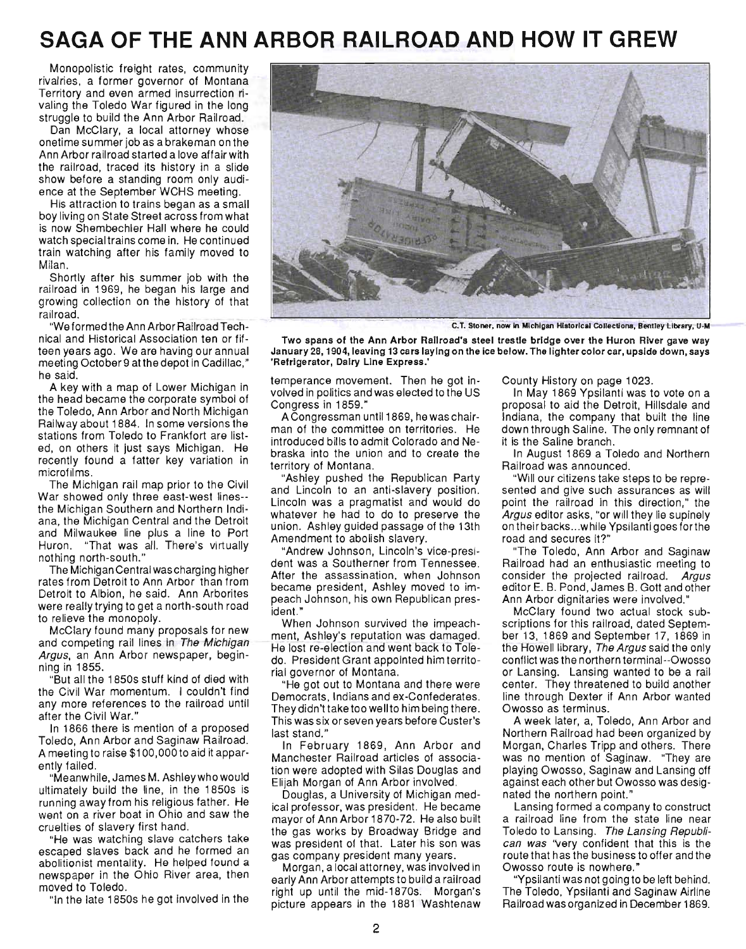# **SAGA OF THE ANN ARBOR RAILROAD AND HOW IT GREW**

Monopolistic freight rates, community rivalries, a former governor of Montana Territory and even armed insurrection rivaling the Toledo War figured in the long struggle to build the Ann Arbor Railroad.

Dan McClary, a local attorney whose onetime summer job as a brakeman on the Ann Arbor railroad started a love affair with the railroad, traced its history in a slide show before a standing room only audience at the September WCHS meeting.

His attraction to trains began as a small boy living on State Street across from what is now Shembechler Hall where he could watch special trains come in. He continued train watching after his family moved to Milan.

Shortly after his summer job with the railroad in 1969, he began his large and growing collection on the history of that railroad.

"We formed the Ann Arbor Railroad Technical and Historical Association ten or fifteen years ago. We are having our annual meeting October 9 at the depot in Cadillac," he said.

A key with a map of Lower Michigan in the head became the corporate symbol of the Toledo, Ann Arbor and North Michigan Railway about 1884. In some versions the stations from Toledo to Frankfort are listed, on others it just says Michigan. He recently found a fatter key variation in microfilms.

The Michigan rail map prior to the Civil War showed only three east-west lines- the Michigan Southern and Northern Indiana, the Michigan Central and the Detroit and Milwaukee line plus a line to Port Huron. "That was all. There's virtually nothing north-south."

The Michigan Central was charging higher rates from Detroit to Ann Arbor than from Detroit to Albion, he said. Ann Arborites were really trying to get a north-south road to relieve the monopoly.

McClary found many proposals for new and competing rail lines in The Michigan Argus, an Ann Arbor newspaper, beginning in 1855.

"But all the 1850s stuff kind of died with the Civil War momentum. I couldn't find any more references to the railroad until after the Civil War."

In 1866 there is mention of a proposed Toledo, Ann Arbor and Saginaw Railroad. A meeting to raise \$1 00,000 to aid it apparently failed.

"Meanwhile, James M. Ashleywho would ultimately build the line, in the 1850s is running away from his religious father. He went on a river boat in Ohio and saw the cruelties of slavery first hand.

"He was watching slave catchers take escaped slaves back and he formed an abolitionist mentality. He helped found a newspaper in the Ohio River area, then moved to Toledo.

"In the late 1850s he got involved in the



C.T. Stoner, now in Michigan Historical Collections, Bentley Library, U-M

Two spans of the Ann Arbor Railroad's steel trestle bridge over the Huron River gave way January 28, 1904, leaving 13 cars laying on the ice below. The lighter color car, upside down, says 'Refrigerator, Dairy Line Express.'

temperance movement. Then he got involved in politics and was elected to the US Congress in 1859."

ACongressman until 1869, he was chairman of the committee on territories. He introduced bills to admit Colorado and Nebraska into the union and to create the territory of Montana.

"Ashley pushed the Republican Party and Lincoln to an anti-slavery position. Lincoln was a pragmatist and would do whatever he had to do to preserve the union. Ashley guided passage of the 13th Amendment to abolish slavery.

"Andrew Johnson, Lincoln's vice-president was a Southerner from Tennessee. After the assassination, when Johnson became president, Ashley moved to impeach Johnson, his own Republican president. "

When Johnson survived the impeachment, Ashley's reputation was damaged. He lost re-election and went back to Toledo. President Grant appOinted him territorial governor of Montana.

"He got out to Montana and there were Democrats, Indians and ex-Confederates. Theydidn't take too wellto him being there. This was six or seven years before Custer's last stand."

In February 1869, Ann Arbor and Manchester Railroad articles of association were adopted with Silas Douglas and Elijah Morgan of Ann Arbor involved.

Douglas, a University of Michigan medical professor, was president. He became mayor of Ann Arbor 1870-72. He also built the gas works by Broadway Bridge and was president of that. Later his son was gas company president many years.

Morgan, a local attorney, was involved in early Ann Arbor attempts to build a railroad right up until the mid-1870s. Morgan's picture appears in the 1881 Washtenaw County History on page 1023.

In May 1869 Ypsilanti was to vote on a proposal to aid the Detroit, Hillsdale and Indiana, the company that built the line down through Saline. The only remnant of it is the Saline branch.

In August 1869 a Toledo and Northern Railroad was announced.

"Will our citizens take steps to be represented and give such assurances as will point the railroad in this direction," the Argus editor asks, "or will they lie supinely on their backs... while Ypsilanti goes for the road and secures it?"

"The Toledo, Ann Arbor and Saginaw Railroad had an enthusiastic meeting to consider the projected railroad. Argus editor E. B. Pond, James B. Gott and other Ann Arbor dignitaries were involved."

McClary found two actual stock subscriptions for this railroad, dated September 13, 1869 and September 17, 1869 in the Howell library, The Argus said the only conflict was the northern terminal--Owosso or Lansing. Lansing wanted to be a rail center. They threatened to build another line through Dexter if Ann Arbor wanted Owosso as terminus.

A week later, a, Toledo, Ann Arbor and Northern Railroad had been organized by Morgan, Charles Tripp and others. There was no mention of Saginaw. "They are playing Owosso, Saginaw and Lansing off against each other but Owosso was designated the northern point."

Lansing formed a company to construct a railroad line from the state line near Toledo to Lansing. The Lansing Republi*can was* "very confident that this is the route that has the business to offer and the Owosso route is nowhere."

"Ypsilanti was not going to be left behind. The Toledo, Ypsilanti and Saginaw Airline Railroad was organized in December 1869.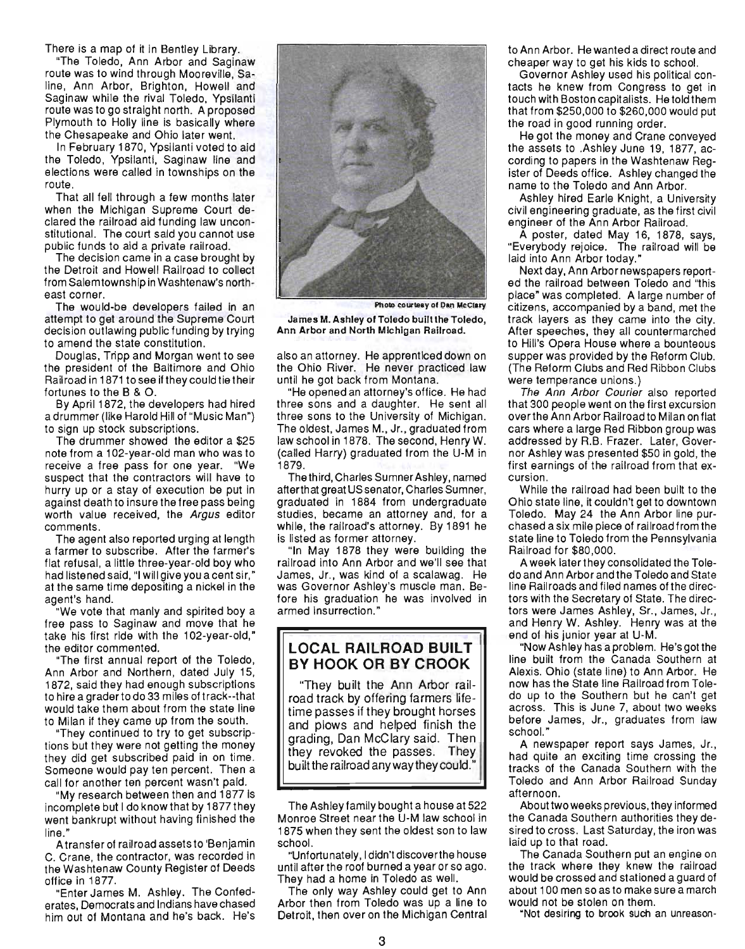There is a map of it in Bentley Library.

"The Toledo, Ann Arbor and Saginaw route was to wind through Mooreville, Saline, Ann Arbor, Brighton, Howell and Saginaw while the rival Toledo, Ypsilanti route was to go straight north. A proposed Plymouth to Holly line is basically where the Chesapeake and Ohio later went.

In February 1870, Ypsilanti voted to aid the Toledo, Ypsilanti, Saginaw line and elections were called in townships on the route.

That all fell through a few months later when the Michigan Supreme Court declared the railroad aid funding law unconstitutional. The court said you cannot use public funds to aid a private railroad.

The decision came in a case brought by the Detroit and Howell Railroad to collect from Salem township in Washtenaw's northeast corner.

The would-be developers failed in an attempt to get around the Supreme Court decision outlawing public funding by trying to amend the state constitution.

Douglas, Tripp and Morgan went to see the president of the Baltimore and Ohio Railroad in 1871 to see if they could tie their fortunes to the B & O.

By April 1872, the developers had hired a drummer (like Harold Hill of "Music Man") to sign up stock subscriptions.

The drummer showed the editor a \$25 note from a 1 02-year-old man who was to receive a free pass for one year. "We suspect that the contractors will have to hurry up or a stay of execution be put in against death to insure the free pass being worth value received, the Argus editor comments .

The agent also reported urging at length a farmer to subscribe. After the farmer's flat refusal, a little three-year-old boy who had listened said, "I will give you a cent sir," at the same time depositing a nickel in the agent's hand.

"We vote that manly and spirited boy a free pass to Saginaw and move that he take his first ride with the 102-year-old," the editor commented.

"The first annual report of the Toledo, Ann Arbor and Northern, dated July 15, 1872, said they had enough subscriptions to hire a graderto do 33 miles of track--that would take them about from the state line to Milan if they came up from the south.

"They continued to try to get subscriptions but they were not getting the money they did get subscribed paid in on time. Someone would pay ten percent. Then a call for another ten percent wasn't paid.

"My research between then and 1877 is incomplete but I do know that by 1877 they went bankrupt without having finished the line."

A transfer of railroad assets to 'Benjamin C. Crane, the contractor, was recorded in the Washtenaw County Register of Deeds office in 1877.

"Enter James M. Ashley. The Confederates, Democrats and Indians have chased him out of Montana and he's back. He's



Photo courtesy of Dan McClary

James M. Ashley of Toledo built the Toledo, Ann Arbor and North Michigan Railroad.

also an attorney. He apprenticed down on the Ohio River. He never practiced law until he got back from Montana.

"He opened an attorney's office. He had three sons and a daughter. He sent all three sons to the University of Michigan. The oldest, James M., Jr., graduated from law school in 1878. The second, Henry W. (called Harry) graduated from the U-M in 1879.

The third, Charles Sumner Ashley, named atterthat great US senator, Charles Sumner, graduated in 1884 from undergraduate studies, became an attorney and, for a while, the railroad's attorney. By 1891 he is listed as former attorney.

"In May 1878 they were building the railroad into Ann Arbor and we'll see that James, Jr., was kind of a scalawag. He was Governor Ashley's muscle man. Before his graduation he was involved in armed insurrection."

#### **LOCAL RAILROAD BUILT BY HOOK OR BY CROOK**

"They built the Ann Arbor railroad track by offering farmers lifetime passes if they brought horses and plows and helped finish the grading, Dan McClary said. Then they revoked the passes. They built the railroad anyway they could."

The Ashley family bought a house at 522 Monroe Street near the U-M law school in 1875 when they sent the oldest son to law school.

"Unfortunately, I didn't discoverthe house until after the roof burned a year or so ago. They had a home in Toledo as well.

The only way Ashley could get to Ann Arbor then from Toledo was up a line to Detroit, then over on the Michigan Central to Ann Arbor. He wanted a direct route and cheaper way to get his kids to school.

Governor Ashley used his political contacts he knew from Congress to get in touch with Boston capitalists. He told them that from \$250,000 to \$260,000 would put the road in good running order.

He got the money and Crane conveyed the assets to .Ashley June 19, 1877, according to papers in the Washtenaw Register of Deeds office. Ashley changed the name to the Toledo and Ann Arbor.

Ashley hired Earle Knight, a University civil engineering graduate, as the first civil engineer of the Ann Arbor Railroad.

A poster, dated May 16, 1878, says, "Everybody rejoice. The railroad will be laid into Ann Arbor today."

Next day, Ann Arbor newspapers reported the railroad between Toledo and "this place" was completed. A large number of citizens, accompanied by a band, met the track layers as they came into the city. After speeches, they all countermarched to Hill's Opera House where a bounteous supper was provided by the Reform Club. (The Reform Clubs and Red Ribbon Clubs were temperance unions.)

The Ann Arbor Courier also reported that 300 people went on the first excursion overthe Ann Arbor Railroad to Milan on flat cars where a large Red Ribbon group was addressed by R.B. Frazer. Later, Governor Ashley was presented \$50 in gold, the first earnings of the railroad from that excursion.

While the railroad had been built to the Ohio state line, it couldn't get to downtown Toledo. May 24 the Ann Arbor line purchased a six mile piece of railroad from the state line to Toledo from the Pennsylvania Railroad for \$80,000.

A week later they consolidated the Toledo and Ann Arbor and the Toledo and State line Railroads and filed names of the directors with the Secretary of State. The directors were James Ashley, Sr., James, Jr., and Henry W. Ashley. Henry was at the end of his junior year at U-M.

"Now Ashley has a problem. He's got the line built from the Canada Southern at Alexis. Ohio (state line) to Ann Arbor. He now has the State line Railroad from Toledo up to the Southern but he can't get across. This is June 7, about two weeks before James, Jr., graduates from law school."

A newspaper report says James, Jr., had quite an exciting time crossing the tracks of the Canada Southern with the Toledo and Ann Arbor Railroad Sunday afternoon.

About two weeks previous, they informed the Canada Southern authorities they desired to cross. Last Saturday, the iron was laid up to that road.

The Canada Southern put an engine on the track where they knew the railroad would be crossed and stationed a guard of about 100 men so as to make sure a march would not be stolen on them. "Not desiring to brook such an unreason-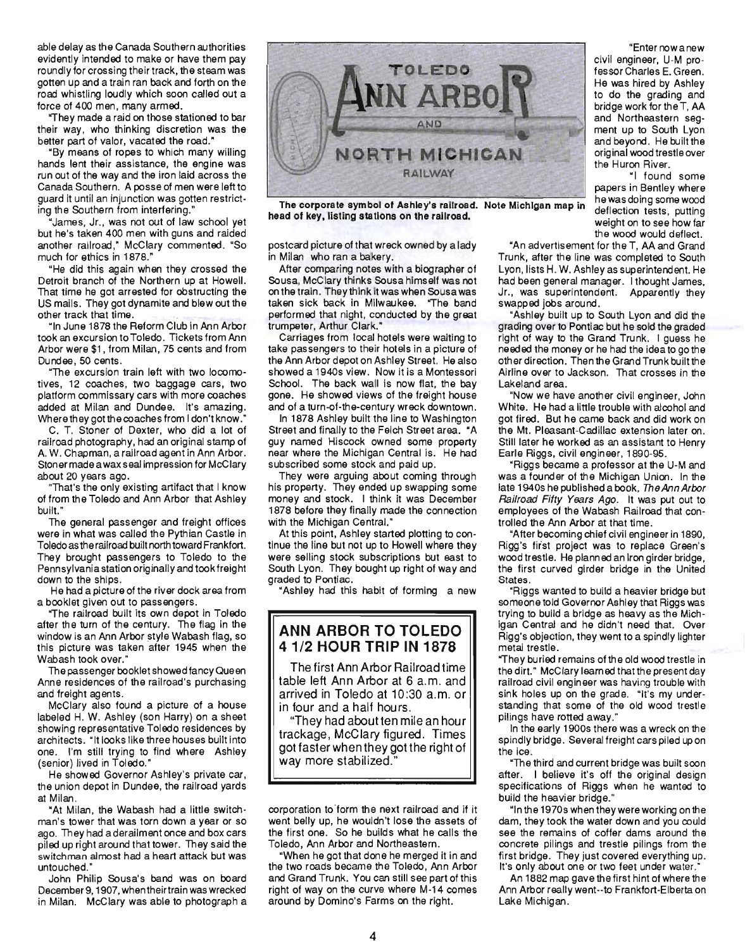able delay as the Canada Southern authorities evidently intended to make or have them pay roundly for crossing their track, the steam was gotten up and a train ran back and forth on the road whistling loudly which soon called out a force of 400 men, many armed.

"They made a raid on those stationed to bar their way, who thinking discretion was the better part of valor, vacated the road."

"By means of ropes to which many willing hands lent their assistance, the engine was run out of the way and the iron laid across the Canada Southern. A posse of men were left to guard it until an injunction was gotten restricting the Southern from interfering:

"James, Jr., was not out of law school yet but he's taken 400 men with guns and raided another railroad," McClary commented. "So much for ethics in 1878."

"He did this again when they crossed the Detroit branch of the Northern up at Howell. That time he got arrested for obstructing the US mails. They got dynamite and blew out the other track that time.

"In June 1878 the Reform Club in Ann Arbor took an excursion to Toledo. Tickets from Ann Arbor were \$1 , from Milan, 75 cents and from Dundee, 50 cents.

"The excursion train left with two locomotives, 12 coaches, two baggage cars, two platform commissary cars with more coaches added at Milan and Dundee. It's amazing. Where they got the coaches from I don't know."

C. T. Stoner of Dexter, who did a lot of railroad photography, had an original stamp of A. W. Chapman, a railroad agent in Ann Arbor. Ston er made a wax seal impression for McC lary about 20 years ago.

"That's the only existing artifact that I know of from the Toledo and Ann Arbor that Ashley built."

The general passenger and freight offices were in what was called the Pythian Castle in Toledo as the railroad built north toward Frankfort. They brought passengers to Toledo to the Pennsylvania station originally and took freight down to the ships.

He had a picture of the river dock area from a booklet given out to passengers.

"The railroad built its own depot in Toledo after the turn of the century. The flag in the window is an Ann Arbor style Wabash flag, so this picture was taken after 1945 when the Wabash took over."

The passenger booklet showed fancy Queen Anne residences of the railroad's purchasing and freight agents.

McClary also found a picture of a house labeled H. W. Ashley (son Harry) on a sheet showing representative Toledo residences by architects. "It looks like three houses built into one. I'm still trying to find where Ashley (senior) lived in Toledo."

He showed Governor Ashley's private car, the union depot in Dundee, the railroad yards at Milan.

"At Milan, the Wabash had a little switchman's tower that was torn down a year or so ago. They had a derailment once and box cars piled up right around that tower. They said the switchman almost had a heart attack but was untouched."

John Philip Sousa's band was on board December 9, 1907, when their train was wrecked in Milan. McClary was able to photograph a



The corporate symbol of Ashley's railroad. Note Michigan map in the was doing some wood head of key, listing stations on the railroad.<br>weight on to see how far

postcard picture of that wreck owned by a lady in Milan who ran a bakery.

After comparing notes with a biographer of Sousa, McClary thinks Sousa himself was not on the train. They think it was when Sousa was taken sick back in Milwaukee. "The band performed that night, conducted by the great trumpeter, Arthur Clark."

Carriages from local hotels were waiting to take passengers to their hotels in a picture of the Ann Arbor depot on Ashley Street. He also showed a 1940s view. Now it is a Montessori School. The back wall is now flat, the bay gone. He showed views of the freight house and of a turn -of-the-century wreck downtown.

In 1878 Ashley built the line to Washington Street and finally to the Felch Street area. "A guy named Hiscock owned some property near where the Michigan Central is. He had subscribed some stock and paid up.

They were arguing about coming through his property. They ended up swapping some money and stock. I think it was December 1878 before they finally made the connection with the Michigan Central."

At this point, Ashley started plotting to continue the line but not up to Howell where they were selling stock subscriptions but east to South Lyon. They bought up right of way and graded to Pontiac.

"Ashley had this habit of forming a new

#### **ANN ARBOR TO TOLEDO**  4112 **HOUR TRIP IN 1878**

The first Ann Arbor Railroad time table left Ann Arbor at 6 a.m. and arrived in Toledo at 10:30 a.m. or in four and a half hours.

"They had about ten mile an hou r trackage, McClary figured . Times got faster when they got the right of way more stabilized."

corporation to form the next railroad and if it went belly up, he wouldn't lose the assets of the first one. So he builds what he calls the Toledo, Ann Arbor and Northeastern.

"When he got that done he merged it in and the two roads became the Toledo, Ann Arbor and Grand Trunk. You can still see part of this right of way on the curve where M-14 comes around by Domino's Farms on the right.

"Enter now a new civil engineer, U·M professor Charles E. Green. He was hired by Ashley to do the grading and bridge work for the T, AA and beyond. He built the original wood trestle over the Huron River.

"I found some papers in Bentley where the wood would deflect.

"An advertisement for the T, AA and Grand Trunk, after the line was completed to South Lyon, lists H. W. Ashley as superintendent. He had been general manager. I thought James, Jr., was superintendent. Apparently they swapped jobs around.

"Ashley built up to South Lyon and did the grading over to Pontiac but he sold the graded right of way to the Grand Trunk. I guess he needed the money or he had the idea to go the other direction. Then the Grand Trunk built the Airline over to Jackson. That crosses in the Lakeland area.

"Now we have another civil engineer, John White. He had a little trouble with alcohol and got fired. But he came back and did work on the Mt. Pleasant-Cadillac extension later on . Still later he worked as an assistant to Henry Earle Riggs, civil engineer, 1890-95.

"Riggs became a professor at the U-M and was a founder of the Michigan Union. In the late 1940s he published a book, The Ann Arbor Railroad Fifty Years Ago. It was put out to employees of the Wabash Railroad that controlled the Ann Arbor at that time.

"After becoming chief civil engineer in 1890, Rigg's fir'st project was to replace Green's wood trestle. He planned an Iron girder bridge, the first curved girder bridge in the United States.

"Riggs wanted to build a heavier bridge but someone told Governor Ashley that Riggs was trying to build a bridge as heavy as the Michigan Central and he didn't need that. Over Rigg's objection, they went to a spindly lighter metal trestle .

"They buried remains of the old wood trestle in the dirt." McClary learned that the present day railroad civil engineer was having trouble with sink holes up on the grade. "It's my understanding that some of the old wood trestle pilings have rotted away."

In the early 1900s there was a wreck on the spindly bridge. Several freight cars piled up on the ice.

"The third and current bridge was built soon after. I believe it's off the original design specifications of Riggs when he wanted to build the heavier bridge."

"In the 1970s when they were working on the dam. they took the water down and you could see the remains of coffer dams around the concrete pilings and trestle pilings from the first bridge. They just covered everything up. It's only about one or two feet under water."

An 1882 map gave the first hint of where the Ann Arbor really went--to Frankfort-Elberta on Lake Michigan.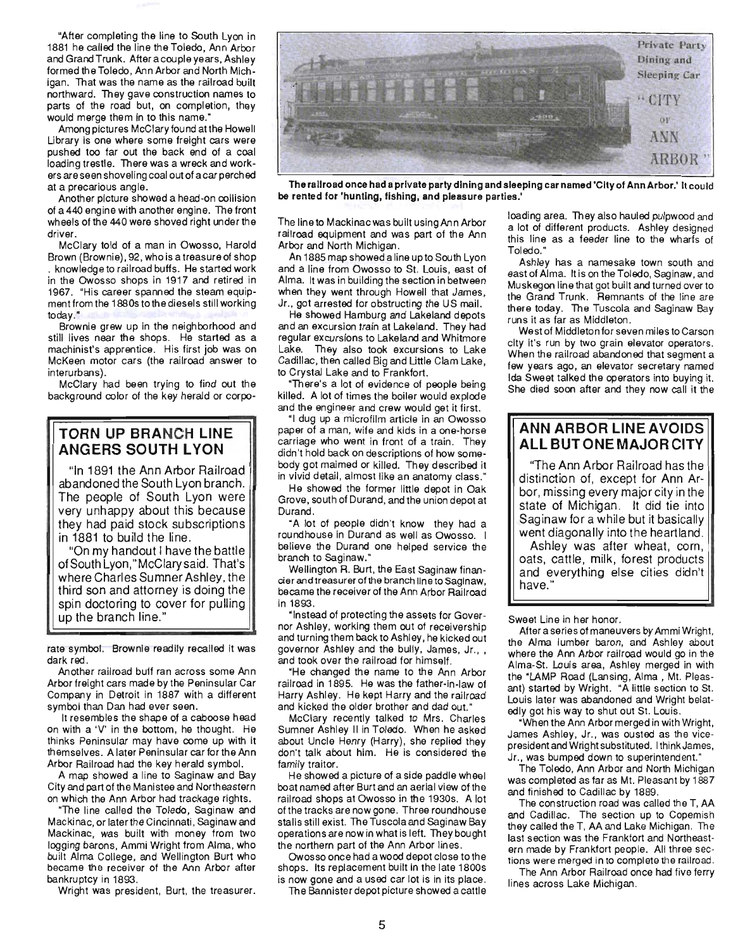"After completing the line to South Lyon in 1881 he called the line the Toledo, Ann Arbor and Grand Trunk. After a couple years, Ashley formed the Toledo, Ann Arbor and North Michigan. That was the name as the railroad built northward. They gave construction names to parts of the road but, on completion, they would merge them in to this name."

Among pictures McClary found at the Howell Library is one where some freight cars were pushed too far out the back end of a coal loading trestle. There was a wreck and workers are seen shoveling coal out of a car perched at a precarious angle.

Another picture showed a head-on collision of a 440 engine with another engine. The front wheels of the 440 were shoved right under the driver.

McClary told of a man in Owosso, Harold Brown (Brownie), 92, who is a treasure of shop . knowledge to railroad buffs. He started work in the Owosso shops in 1917 and retired in 1967. "His career spanned the steam equipment from the 1880s to the diesels still working today."

Brownie grew up in the neighborhood and still lives near the shops. He started as a machinist's apprentice. His first job was on McKeen motor cars (the railroad answer to interurbans).

McClary had been trying to find out the background color of the key herald or corpo-

#### **TORN UP BRANCH LINE ANGERS SOUTH LYON**

"In 1891 the Ann Arbor Railroad abandoned the South Lyon branch. The people of South Lyon were very unhappy about this because they had paid stock subscriptions in 1881 to build the line.

"On my handout I have the battle of South Lyon," McClary said. That's where Charles Sumner Ashley, the third son and attorney is doing the spin doctoring to cover for pulling up the branch line."

rate symbol. Brownie readily recalled it was dark red.

Another railroad buff ran across some Ann Arbor freight cars made by the Peninsular Car Company in Detroit in 1887 with a different symbol than Dan had ever seen.

It resembles the shape of a caboose head on with a 'V' in the bottom, he thought. He thinks Peninsular may have come up with it themselves. A later Peninsular car for the Ann Arbor Railroad had the key herald symbol.

A map showed a line to Saginaw and Bay City and part of the Manistee and Northeastern on which the Ann Arbor had trackage rights.

"The line called the Toledo, Saginaw and Mackinac, or later the Cincinnati, Saginaw and Mackinac, was built with money from two logging barons, Ammi Wright from Alma, who built Alma College, and Wellington Burt who became the receiver of the Ann Arbor after bankruptcy in 1893.

Wright was president, Burt, the treasurer.



The railroad once had a private party dining and sleeping car named 'City of Ann Arbor.' It could be rented for 'hunting, fishing, and pleasure parties.'

The lineto Mackinac was built using Ann Arbor railroad equipment and was part of the Ann Arbor and North Michigan.

An 1885 map showed aline upto South Lyon and a line from Owosso to St. Louis, east of Alma. It was in building the section in between when they went through Howell that James, Jr., got arrested for obstructing the US mail.

He showed Hamburg and Lakeland depots and an excursion train at Lakeland. They had regular excursions to Lakeland and Whitmore Lake. They also took excursions to Lake Cadillac, then called Big and Little Clam Lake, to Crystal Lake and to Frankfort.

"There's a lot of evidence of people being killed. A lot of times the boiler would explode and the engineer and crew would get it first.

"I dug up a microfilm article in an Owosso paper of a man, wife and kids in a one-horse carriage who went in front of a train. They didn't hold back on descriptions of how somebody got maimed or killed. They described it in vivid detail, almost like an anatomy class."

He showed the former little depot in Oak Grove, south of Durand, and the union depot at Durand.

"A lot of people didn't know they had a roundhouse in Durand as well as Owosso. I believe the Durand one helped service the branch to Saginaw."

Wellington A. Burt, the East Saginaw financier and treasurer of the branch line to Saginaw, became the receiver of the Ann Arbor Railroad in 1893.

"Instead of protecting the assets for Governor Ashley, working them out of receivership and turning them back to Ashley, he kicked out governor Ashley and the bully, James, Jr., , and took over the railroad for himself.

"He changed the name to the Ann Arbor railroad in 1895. He was the father-in-law of Harry Ashley. He kept Harry and the railroad and kicked the older brother and dad out."

McClary recently talked to Mrs. Charles Sumner Ashley II in Toledo. When he asked about Uncle Henry (Harry), she replied they don't talk about him. He is considered the family traitor.

He showed a picture of a side paddle wheel boat named after Burt and an aerial view of the railroad shops at Owosso in the 1930s. A lot of the tracks are now gone. Three roundhouse stalls still exist. The Tuscola and Saginaw Bay operations are now in what is left. They bought the northern part of the Ann Arbor lines.

Owosso once had a wood depot close to the shops. Its replacement built in the late 1800s is now gone and a used car lot is in its place.

The Bannister depot picture showed a cattle

loading area. They also hauled pulpwood and a lot of different products. Ashley designed this line as a feeder line to the wharfs of Toledo."

Ashley has a namesake town south and east of Alma. Itis on the Toledo, Saginaw, and Muskegon line that got built and turned over to the Grand Trunk. Remnants of the line are there today. The Tuscola and Saginaw Bay runs it as far as Middleton.

West of Middleton for seven miles to Carson city it's run by two grain elevator operators. When the railroad abandoned that segment a few years ago, an elevator secretary named Ida Sweet talked the operators into buying it. She died soon after and they now call it the

#### **ANN ARBOR** LINE AVOIDS **ALL BUT ONE MAJOR CITY**

"The Ann Arbor Railroad has the distinction of, except for Ann Arbor, missing every major city in the state of Michigan. It did tie into Saginaw for a while but it basically went diagonally into the heartland.

Ashley was after wheat, corn, oats, cattle, milk, forest products and everything else cities didn't have."

#### Sweet Line in her honor.

After a series of maneuvers by Ammi Wright, the Alma lumber baron, and Ashley about where the Ann Arbor railroad would go in the Alma-St. Louis area, Ashley merged in with the "LAMP Road (Lansing, Alma , Mt. Pleasant) started by Wright. "A little section to St. Louis later was abandoned and Wright belatedly got his way to shut out St. Louis.

"When the Ann Arbor merged in with Wright, James Ashley, Jr., was ousted as the vicepresident and Wright substituted. I think James, Jr., was bumped down to superintendent."

The Toledo, Ann Arbor and North Michigan was completed as far as Mt. Pleasant by 1887 and finished to Cadillac by 1889.

The construction road was called the T, AA and Cadillac. The section up to Copemish they called the T, AA and Lake Michigan. The last section was the Frankfort and Northeast· ern made by Frankfort people. All three sections were merged in to complete the railroad.

The Ann Arbor Railroad once had five ferry lines across Lake Michigan.